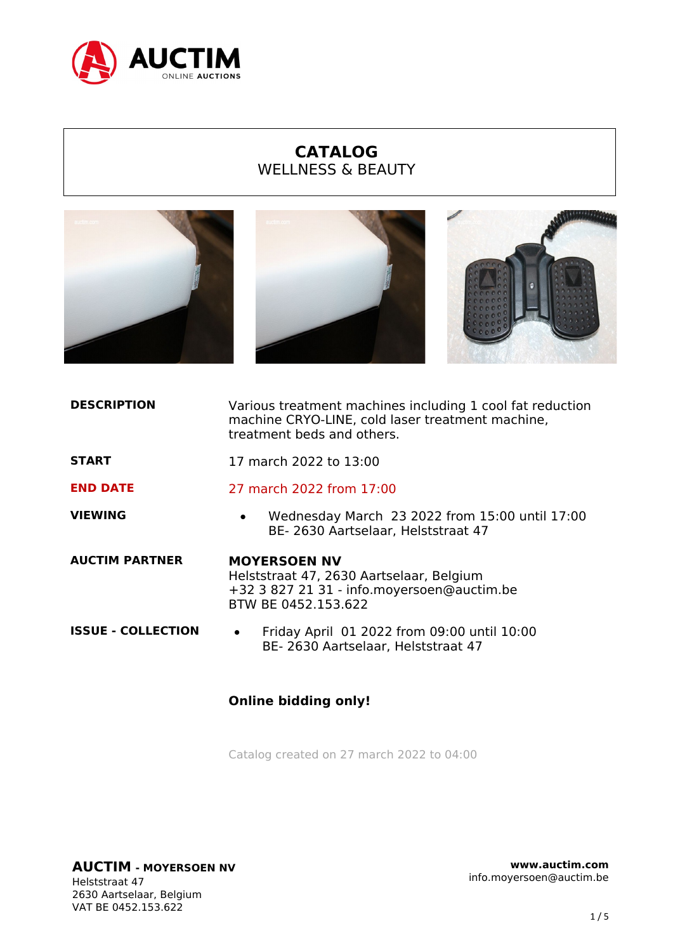

## **CATALOG** WELLNESS & BEAUTY



| <b>DESCRIPTION</b>        | Various treatment machines including 1 cool fat reduction<br>machine CRYO-LINE, cold laser treatment machine,<br>treatment beds and others. |
|---------------------------|---------------------------------------------------------------------------------------------------------------------------------------------|
| <b>START</b>              | 17 march 2022 to 13:00                                                                                                                      |
| <b>END DATE</b>           | 27 march 2022 from 17:00                                                                                                                    |
| <b>VIEWING</b>            | Wednesday March 23 2022 from 15:00 until 17:00<br>$\bullet$<br>BE-2630 Aartselaar, Helststraat 47                                           |
| <b>AUCTIM PARTNER</b>     | <b>MOYERSOEN NV</b><br>Helststraat 47, 2630 Aartselaar, Belgium<br>+32 3 827 21 31 - info.moyersoen@auctim.be<br>BTW BE 0452.153.622        |
| <b>ISSUE - COLLECTION</b> | Friday April 01 2022 from 09:00 until 10:00<br>$\bullet$<br>BE-2630 Aartselaar, Helststraat 47                                              |
|                           |                                                                                                                                             |

Catalog created on 27 march 2022 to 04:00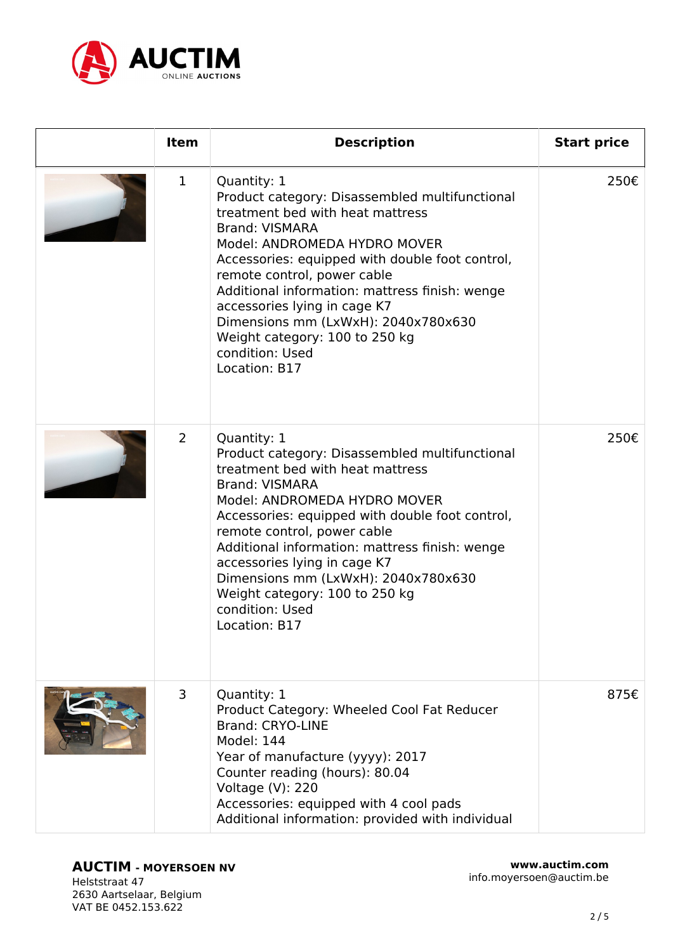

| <b>Item</b> | <b>Description</b>                                                                                                                                                                                                                                                                                                                                                                                                                          | <b>Start price</b> |
|-------------|---------------------------------------------------------------------------------------------------------------------------------------------------------------------------------------------------------------------------------------------------------------------------------------------------------------------------------------------------------------------------------------------------------------------------------------------|--------------------|
| $\mathbf 1$ | Quantity: 1<br>Product category: Disassembled multifunctional<br>treatment bed with heat mattress<br><b>Brand: VISMARA</b><br>Model: ANDROMEDA HYDRO MOVER<br>Accessories: equipped with double foot control,<br>remote control, power cable<br>Additional information: mattress finish: wenge<br>accessories lying in cage K7<br>Dimensions mm (LxWxH): 2040x780x630<br>Weight category: 100 to 250 kg<br>condition: Used<br>Location: B17 | 250€               |
| 2           | Quantity: 1<br>Product category: Disassembled multifunctional<br>treatment bed with heat mattress<br><b>Brand: VISMARA</b><br>Model: ANDROMEDA HYDRO MOVER<br>Accessories: equipped with double foot control,<br>remote control, power cable<br>Additional information: mattress finish: wenge<br>accessories lying in cage K7<br>Dimensions mm (LxWxH): 2040x780x630<br>Weight category: 100 to 250 kg<br>condition: Used<br>Location: B17 | 250€               |
| 3           | Quantity: 1<br>Product Category: Wheeled Cool Fat Reducer<br><b>Brand: CRYO-LINE</b><br><b>Model: 144</b><br>Year of manufacture (yyyy): 2017<br>Counter reading (hours): 80.04<br>Voltage (V): 220<br>Accessories: equipped with 4 cool pads<br>Additional information: provided with individual                                                                                                                                           | 875€               |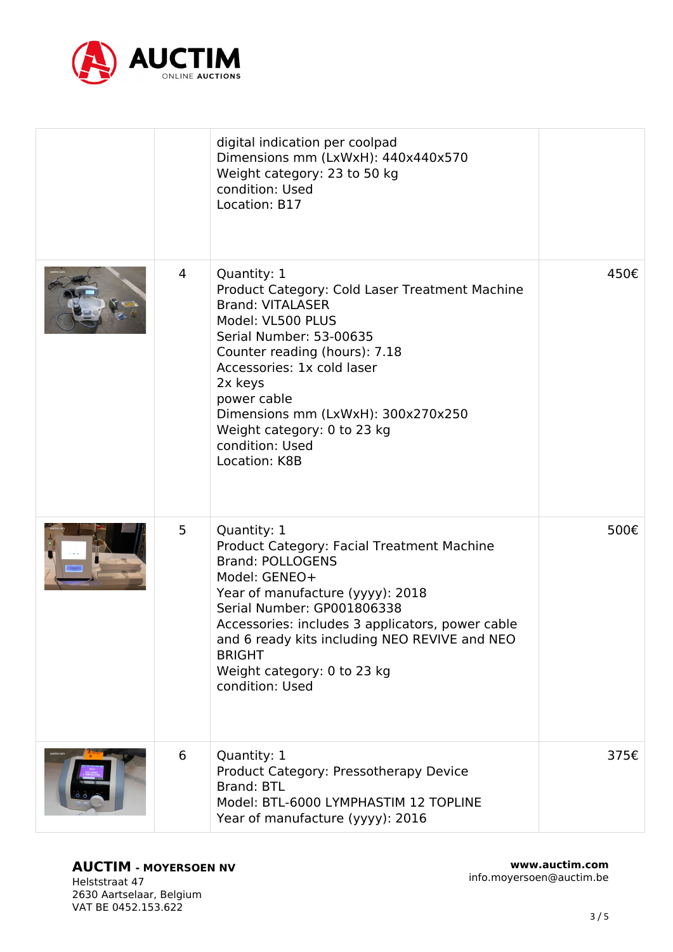

|   | digital indication per coolpad<br>Dimensions mm (LxWxH): 440x440x570<br>Weight category: 23 to 50 kg<br>condition: Used<br>Location: B17                                                                                                                                                                                                        |      |
|---|-------------------------------------------------------------------------------------------------------------------------------------------------------------------------------------------------------------------------------------------------------------------------------------------------------------------------------------------------|------|
| 4 | Quantity: 1<br>Product Category: Cold Laser Treatment Machine<br><b>Brand: VITALASER</b><br>Model: VL500 PLUS<br>Serial Number: 53-00635<br>Counter reading (hours): 7.18<br>Accessories: 1x cold laser<br>2x keys<br>power cable<br>Dimensions mm (LxWxH): 300x270x250<br>Weight category: 0 to 23 kg<br>condition: Used<br>Location: K8B      | 450€ |
| 5 | Quantity: 1<br>Product Category: Facial Treatment Machine<br><b>Brand: POLLOGENS</b><br>Model: GENEO+<br>Year of manufacture (yyyy): 2018<br>Serial Number: GP001806338<br>Accessories: includes 3 applicators, power cable<br>and 6 ready kits including NEO REVIVE and NEO<br><b>BRIGHT</b><br>Weight category: 0 to 23 kg<br>condition: Used | 500€ |
| 6 | Quantity: 1<br>Product Category: Pressotherapy Device<br><b>Brand: BTL</b><br>Model: BTL-6000 LYMPHASTIM 12 TOPLINE<br>Year of manufacture (yyyy): 2016                                                                                                                                                                                         | 375€ |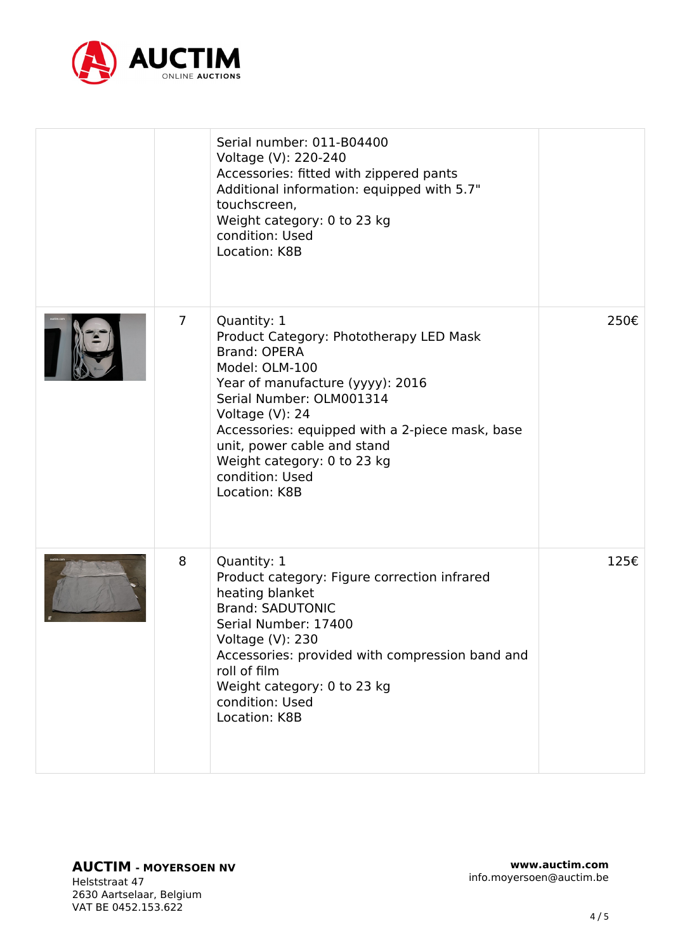

|                | Serial number: 011-B04400<br>Voltage (V): 220-240<br>Accessories: fitted with zippered pants<br>Additional information: equipped with 5.7"<br>touchscreen,<br>Weight category: 0 to 23 kg<br>condition: Used<br>Location: K8B                                                                                                           |      |
|----------------|-----------------------------------------------------------------------------------------------------------------------------------------------------------------------------------------------------------------------------------------------------------------------------------------------------------------------------------------|------|
| $\overline{7}$ | Quantity: 1<br>Product Category: Phototherapy LED Mask<br><b>Brand: OPERA</b><br>Model: OLM-100<br>Year of manufacture (yyyy): 2016<br>Serial Number: OLM001314<br>Voltage (V): 24<br>Accessories: equipped with a 2-piece mask, base<br>unit, power cable and stand<br>Weight category: 0 to 23 kg<br>condition: Used<br>Location: K8B | 250€ |
| 8              | Quantity: 1<br>Product category: Figure correction infrared<br>heating blanket<br><b>Brand: SADUTONIC</b><br>Serial Number: 17400<br>Voltage (V): 230<br>Accessories: provided with compression band and<br>roll of film<br>Weight category: 0 to 23 kg<br>condition: Used<br>Location: K8B                                             | 125€ |